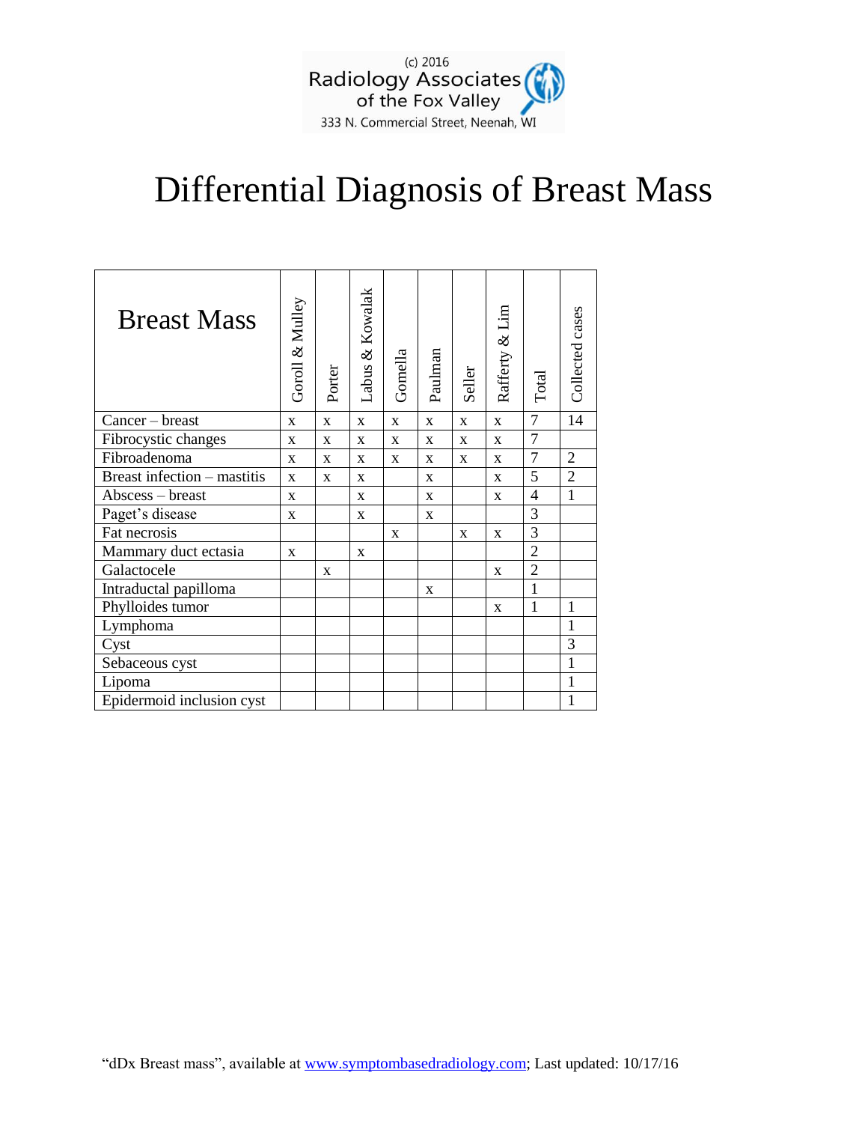

## Differential Diagnosis of Breast Mass

| <b>Breast Mass</b>          | Goroll & Mulley | Porter | Labus & Kowalak | Gomella      | Paulman      | Seller       | Rafferty & Lim | Total          | Collected cases |
|-----------------------------|-----------------|--------|-----------------|--------------|--------------|--------------|----------------|----------------|-----------------|
| Cancer – breast             | $\mathbf{X}$    | X      | $\mathbf{X}$    | $\mathbf X$  | $\mathbf{X}$ | $\mathbf{x}$ | X              | $\overline{7}$ | 14              |
| Fibrocystic changes         | $\mathbf{x}$    | X      | $\mathbf{x}$    | $\mathbf{x}$ | $\mathbf x$  | $\mathbf{x}$ | $\mathbf x$    | $\overline{7}$ |                 |
| Fibroadenoma                | $\mathbf x$     | X      | $\mathbf{x}$    | X            | X            | $\mathbf{x}$ | $\mathbf x$    | $\overline{7}$ | $\overline{2}$  |
| Breast infection - mastitis | X               | X      | X               |              | X            |              | X              | 5              | $\overline{2}$  |
| Abscess - breast            | $\mathbf{x}$    |        | $\mathbf{x}$    |              | $\mathbf X$  |              | $\mathbf x$    | 4              | $\mathbf{1}$    |
| Paget's disease             | X               |        | X               |              | $\mathbf X$  |              |                | 3              |                 |
| Fat necrosis                |                 |        |                 | X            |              | $\mathbf{x}$ | $\mathbf X$    | 3              |                 |
| Mammary duct ectasia        | X               |        | X               |              |              |              |                | $\overline{2}$ |                 |
| Galactocele                 |                 | X      |                 |              |              |              | X              | $\overline{2}$ |                 |
| Intraductal papilloma       |                 |        |                 |              | X            |              |                | $\mathbf{1}$   |                 |
| Phylloides tumor            |                 |        |                 |              |              |              | X              | 1              | 1               |
| Lymphoma                    |                 |        |                 |              |              |              |                |                |                 |
| Cyst                        |                 |        |                 |              |              |              |                |                | 3               |
| Sebaceous cyst              |                 |        |                 |              |              |              |                |                | 1               |
| Lipoma                      |                 |        |                 |              |              |              |                |                | 1               |
| Epidermoid inclusion cyst   |                 |        |                 |              |              |              |                |                | 1               |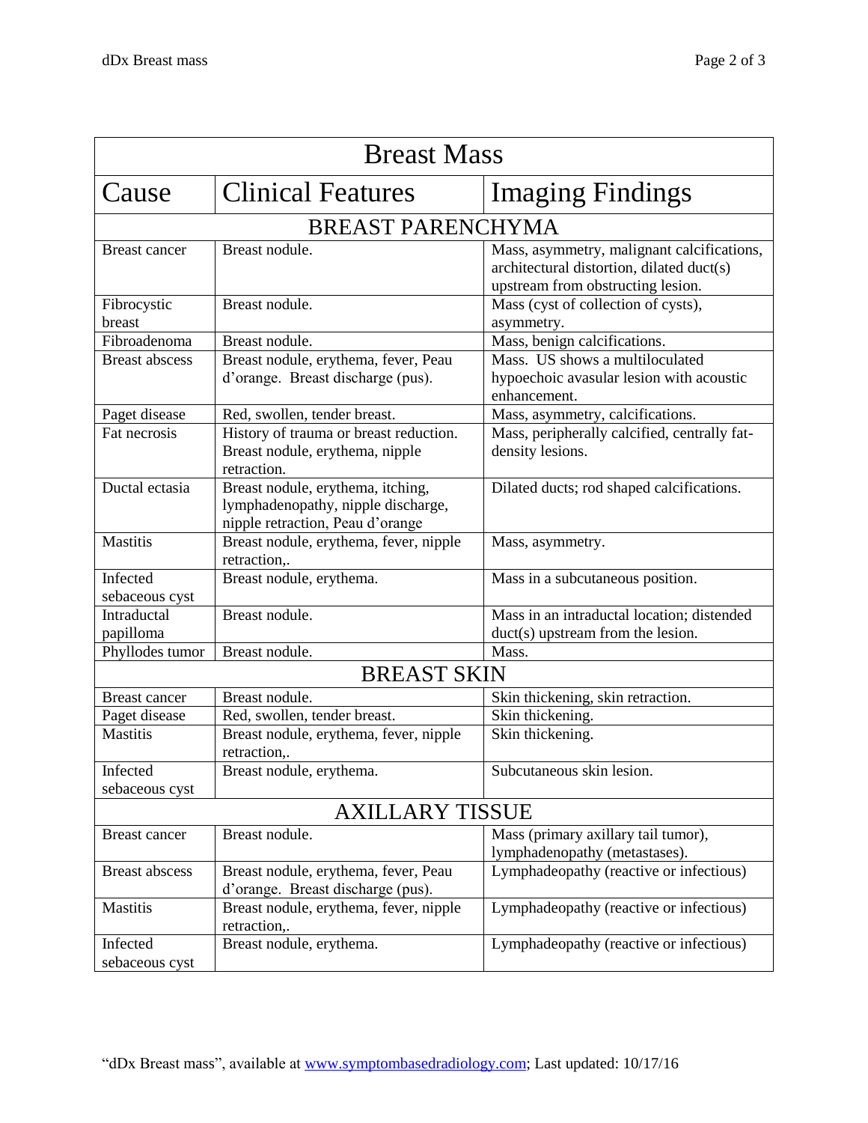| <b>Breast Mass</b>         |                                                                                                             |                                                                                                                              |  |  |  |  |
|----------------------------|-------------------------------------------------------------------------------------------------------------|------------------------------------------------------------------------------------------------------------------------------|--|--|--|--|
| Cause                      | <b>Clinical Features</b>                                                                                    | <b>Imaging Findings</b>                                                                                                      |  |  |  |  |
| <b>BREAST PARENCHYMA</b>   |                                                                                                             |                                                                                                                              |  |  |  |  |
| <b>Breast cancer</b>       | Breast nodule.                                                                                              | Mass, asymmetry, malignant calcifications,<br>architectural distortion, dilated duct(s)<br>upstream from obstructing lesion. |  |  |  |  |
| Fibrocystic<br>breast      | Breast nodule.                                                                                              | Mass (cyst of collection of cysts),<br>asymmetry.                                                                            |  |  |  |  |
| Fibroadenoma               | Breast nodule.                                                                                              | Mass, benign calcifications.                                                                                                 |  |  |  |  |
| <b>Breast abscess</b>      | Breast nodule, erythema, fever, Peau<br>d'orange. Breast discharge (pus).                                   | Mass. US shows a multiloculated<br>hypoechoic avasular lesion with acoustic<br>enhancement.                                  |  |  |  |  |
| Paget disease              | Red, swollen, tender breast.                                                                                | Mass, asymmetry, calcifications.                                                                                             |  |  |  |  |
| Fat necrosis               | History of trauma or breast reduction.<br>Breast nodule, erythema, nipple<br>retraction.                    | Mass, peripherally calcified, centrally fat-<br>density lesions.                                                             |  |  |  |  |
| Ductal ectasia             | Breast nodule, erythema, itching,<br>lymphadenopathy, nipple discharge,<br>nipple retraction, Peau d'orange | Dilated ducts; rod shaped calcifications.                                                                                    |  |  |  |  |
| <b>Mastitis</b>            | Breast nodule, erythema, fever, nipple<br>retraction,.                                                      | Mass, asymmetry.                                                                                                             |  |  |  |  |
| Infected<br>sebaceous cyst | Breast nodule, erythema.                                                                                    | Mass in a subcutaneous position.                                                                                             |  |  |  |  |
| Intraductal<br>papilloma   | Breast nodule.                                                                                              | Mass in an intraductal location; distended<br>duct(s) upstream from the lesion.                                              |  |  |  |  |
| Phyllodes tumor            | Breast nodule.                                                                                              | Mass.                                                                                                                        |  |  |  |  |
| <b>BREAST SKIN</b>         |                                                                                                             |                                                                                                                              |  |  |  |  |
| <b>Breast cancer</b>       | Breast nodule.                                                                                              | Skin thickening, skin retraction.                                                                                            |  |  |  |  |
| Paget disease              | Red, swollen, tender breast.                                                                                | Skin thickening.                                                                                                             |  |  |  |  |
| <b>Mastitis</b>            | Breast nodule, erythema, fever, nipple<br>retraction,.                                                      | Skin thickening.                                                                                                             |  |  |  |  |
| Infected<br>sebaceous cyst | Breast nodule, erythema.                                                                                    | Subcutaneous skin lesion.                                                                                                    |  |  |  |  |
| <b>AXILLARY TISSUE</b>     |                                                                                                             |                                                                                                                              |  |  |  |  |
| Breast cancer              | Breast nodule.                                                                                              | Mass (primary axillary tail tumor),<br>lymphadenopathy (metastases).                                                         |  |  |  |  |
| <b>Breast abscess</b>      | Breast nodule, erythema, fever, Peau<br>d'orange. Breast discharge (pus).                                   | Lymphadeopathy (reactive or infectious)                                                                                      |  |  |  |  |
| Mastitis                   | Breast nodule, erythema, fever, nipple<br>retraction,.                                                      | Lymphadeopathy (reactive or infectious)                                                                                      |  |  |  |  |
| Infected<br>sebaceous cyst | Breast nodule, erythema.                                                                                    | Lymphadeopathy (reactive or infectious)                                                                                      |  |  |  |  |